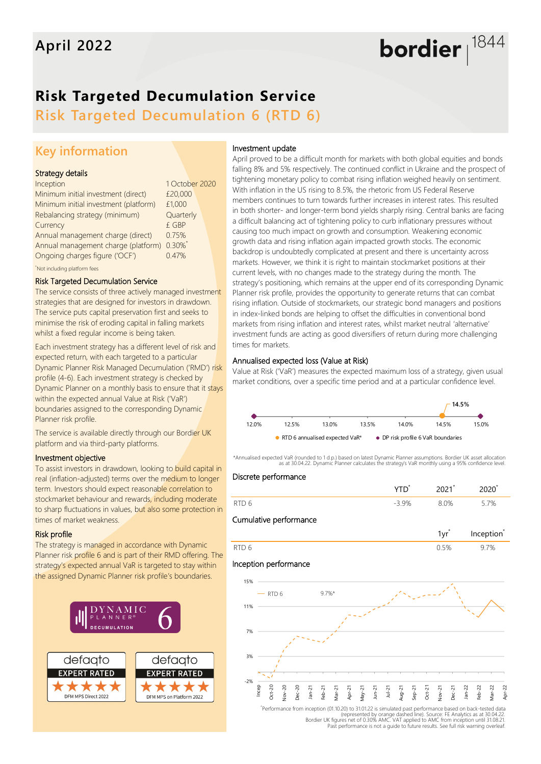# bordier  $1844$

## **Risk Targeted Decumulation Service**

**Risk Targeted Decumulation 6 (RTD 6)**

### **Key information**

#### Strategy details

| Inception                                  | 1 October 2020 |  |
|--------------------------------------------|----------------|--|
| Minimum initial investment (direct)        | £20,000        |  |
| Minimum initial investment (platform)      | £1,000         |  |
| Rebalancing strategy (minimum)             | Quarterly      |  |
| Currency                                   | £ GBP          |  |
| Annual management charge (direct)          | 0.75%          |  |
| Annual management charge (platform) 0.30%* |                |  |
| Ongoing charges figure ('OCF')             | 0.47%          |  |
|                                            |                |  |

\*Not including platform fees

#### Risk Targeted Decumulation Service

The service consists of three actively managed investment strategies that are designed for investors in drawdown. The service puts capital preservation first and seeks to minimise the risk of eroding capital in falling markets whilst a fixed regular income is being taken.

Each investment strategy has a different level of risk and expected return, with each targeted to a particular Dynamic Planner Risk Managed Decumulation ('RMD') risk profile (4-6). Each investment strategy is checked by Dynamic Planner on a monthly basis to ensure that it stays within the expected annual Value at Risk ('VaR') boundaries assigned to the corresponding Dynamic Planner risk profile.

The service is available directly through our Bordier UK platform and via third-party platforms.

#### Investment objective

To assist investors in drawdown, looking to build capital in real (inflation-adjusted) terms over the medium to longer term. Investors should expect reasonable correlation to stockmarket behaviour and rewards, including moderate to sharp fluctuations in values, but also some protection in times of market weakness.

#### Risk profile

The strategy is managed in accordance with Dynamic Planner risk profile 6 and is part of their RMD offering. The strategy's expected annual VaR is targeted to stay within the assigned Dynamic Planner risk profile's boundaries.



#### Investment update

April proved to be a difficult month for markets with both global equities and bonds falling 8% and 5% respectively. The continued conflict in Ukraine and the prospect of tightening monetary policy to combat rising inflation weighed heavily on sentiment. With inflation in the US rising to 8.5%, the rhetoric from US Federal Reserve members continues to turn towards further increases in interest rates. This resulted in both shorter- and longer-term bond yields sharply rising. Central banks are facing a difficult balancing act of tightening policy to curb inflationary pressures without causing too much impact on growth and consumption. Weakening economic growth data and rising inflation again impacted growth stocks. The economic backdrop is undoubtedly complicated at present and there is uncertainty across markets. However, we think it is right to maintain stockmarket positions at their current levels, with no changes made to the strategy during the month. The strategy's positioning, which remains at the upper end of its corresponding Dynamic Planner risk profile, provides the opportunity to generate returns that can combat rising inflation. Outside of stockmarkets, our strategic bond managers and positions in index-linked bonds are helping to offset the difficulties in conventional bond markets from rising inflation and interest rates, whilst market neutral 'alternative' investment funds are acting as good diversifiers of return during more challenging times for markets.

#### Annualised expected loss (Value at Risk)

Value at Risk ('VaR') measures the expected maximum loss of a strategy, given usual market conditions, over a specific time period and at a particular confidence level.



\*Annualised expected VaR (rounded to 1 d.p.) based on latest Dynamic Planner assumptions. Bordier UK asset allocation as at 30.04.22. Dynamic Planner calculates the strategy's VaR monthly using a 95% confidence level.



Performance from inception (01.10.20) to 31.01.22 is simulated past performance based on back-tested data"<br>.epresented by orange dashed line). Source: FE Analytics as at 30.04.22<br>.Bordier UK figures net of 0.30% AMC. VAT a